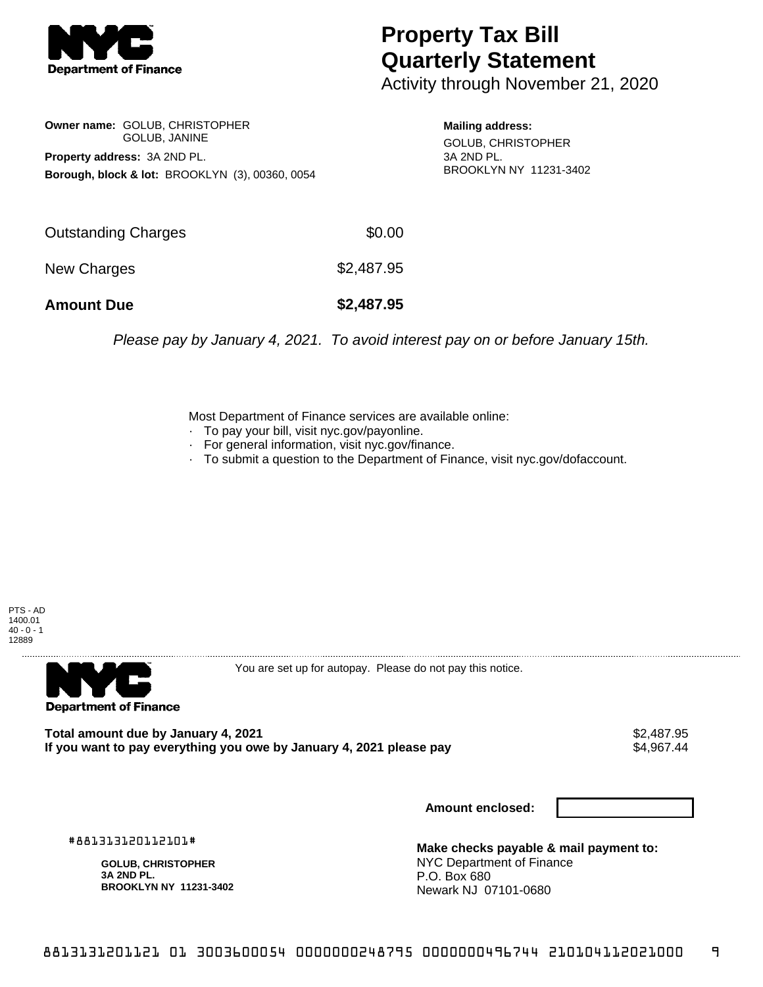

## **Property Tax Bill Quarterly Statement**

Activity through November 21, 2020

**Owner name:** GOLUB, CHRISTOPHER GOLUB, JANINE **Property address:** 3A 2ND PL. **Borough, block & lot:** BROOKLYN (3), 00360, 0054

**Mailing address:** GOLUB, CHRISTOPHER 3A 2ND PL. BROOKLYN NY 11231-3402

| <b>Amount Due</b>          | \$2,487.95 |
|----------------------------|------------|
| New Charges                | \$2,487.95 |
| <b>Outstanding Charges</b> | \$0.00     |

Please pay by January 4, 2021. To avoid interest pay on or before January 15th.

Most Department of Finance services are available online:

- · To pay your bill, visit nyc.gov/payonline.
- For general information, visit nyc.gov/finance.
- · To submit a question to the Department of Finance, visit nyc.gov/dofaccount.





You are set up for autopay. Please do not pay this notice.

Total amount due by January 4, 2021<br>If you want to pay everything you owe by January 4, 2021 please pay **show that the summary set of the set of** 44 If you want to pay everything you owe by January 4, 2021 please pay

**Amount enclosed:**

#881313120112101#

**GOLUB, CHRISTOPHER 3A 2ND PL. BROOKLYN NY 11231-3402**

**Make checks payable & mail payment to:** NYC Department of Finance P.O. Box 680 Newark NJ 07101-0680